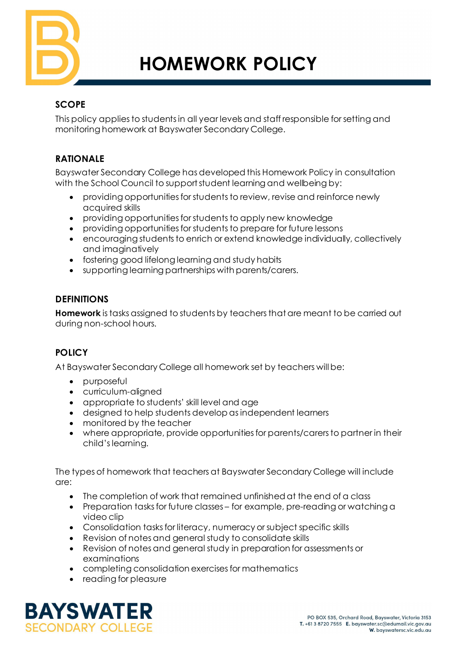

# **HOMEWORK POLICY**

# **SCOPE**

This policy applies to students in all year levels and staff responsible for setting and monitoring homework at Bayswater Secondary College.

# **RATIONALE**

Bayswater Secondary College has developed this Homework Policy in consultation with the School Council to support student learning and wellbeing by:

- providing opportunities for students to review, revise and reinforce newly acquired skills
- providing opportunities for students to apply new knowledge
- providing opportunities for students to prepare for future lessons
- encouraging students to enrich or extend knowledge individually, collectively and imaginatively
- fostering good lifelong learning and study habits
- supporting learning partnerships with parents/carers.

## **DEFINITIONS**

**Homework** is tasks assigned to students by teachers that are meant to be carried out during non-school hours.

# **POLICY**

At Bayswater Secondary College all homework set by teachers will be:

- purposeful
- curriculum-aligned
- appropriate to students' skill level and age
- designed to help students develop as independent learners
- monitored by the teacher
- where appropriate, provide opportunities for parents/carers to partner in their child's learning.

The types of homework that teachers at Bayswater Secondary College will include are:

- The completion of work that remained unfinished at the end of a class
- Preparation tasks for future classes for example, pre-reading or watching a video clip
- Consolidation tasks for literacy, numeracy or subject specific skills
- Revision of notes and general study to consolidate skills
- Revision of notes and general study in preparation for assessments or examinations
- completing consolidation exercises for mathematics
- reading for pleasure

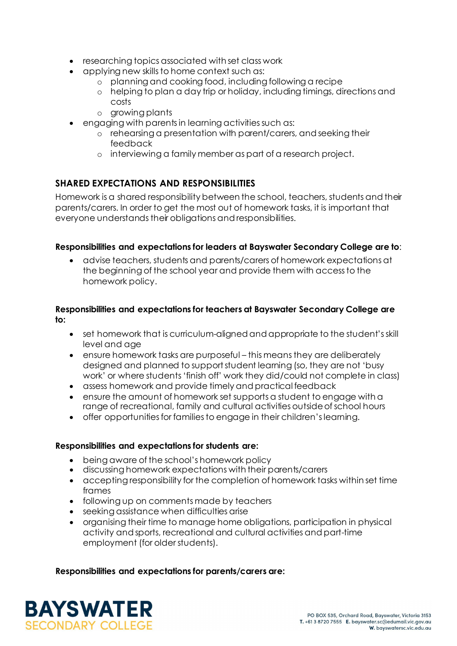- researching topics associated with set class work
- applying new skills to home context such as:
	- o planning and cooking food, including following a recipe
	- o helping to plan a day trip or holiday, including timings, directions and costs
	- o growing plants
- engaging with parents in learning activities such as:
	- o rehearsing a presentation with parent/carers, and seeking their feedback
	- o interviewing a family member as part of a research project.

## **SHARED EXPECTATIONS AND RESPONSIBILITIES**

Homework is a shared responsibility between the school, teachers, students and their parents/carers. In order to get the most out of homework tasks, it is important that everyone understands their obligations and responsibilities.

#### **Responsibilities and expectations for leaders at Bayswater Secondary College are to**:

• advise teachers, students and parents/carers of homework expectations at the beginning of the school year and provide them with access to the homework policy.

#### **Responsibilities and expectations for teachers at Bayswater Secondary College are to:**

- set homework that is curriculum-aligned and appropriate to the student's skill level and age
- ensure homework tasks are purposeful this means they are deliberately designed and planned to support student learning (so, they are not 'busy work' or where students 'finish off' work they did/could not complete in class)
- assess homework and provide timely and practical feedback
- ensure the amount of homework set supports a student to engage with a range of recreational, family and cultural activities outside of school hours
- offer opportunities for families to engage in their children's learning.

#### **Responsibilities and expectations for students are:**

- being aware of the school's homework policy
- discussing homework expectations with their parents/carers
- accepting responsibility for the completion of homework tasks within set time frames
- following up on comments made by teachers
- seeking assistance when difficulties arise
- organising their time to manage home obligations, participation in physical activity and sports, recreational and cultural activities and part-time employment (for older students).

#### **Responsibilities and expectations for parents/carers are:**